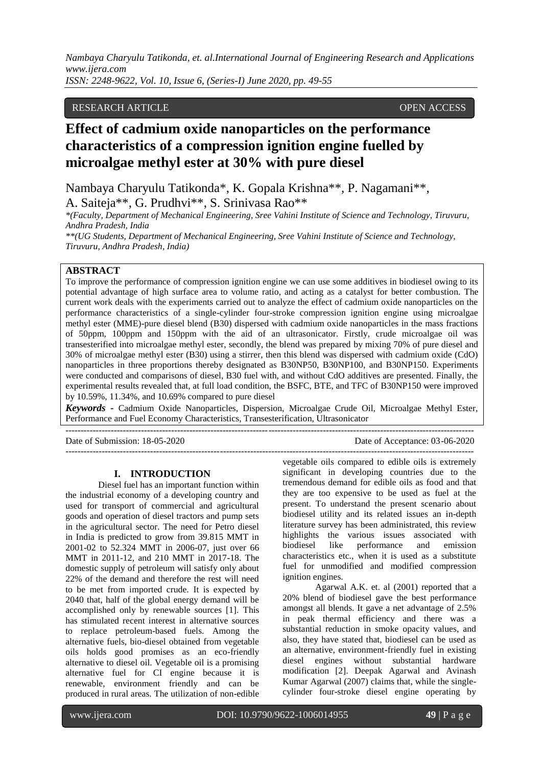*ISSN: 2248-9622, Vol. 10, Issue 6, (Series-I) June 2020, pp. 49-55*

# **1)** *RESEARCH ARTICLE OPEN ACCESS*

# **Effect of cadmium oxide nanoparticles on the performance characteristics of a compression ignition engine fuelled by microalgae methyl ester at 30% with pure diesel**

Nambaya Charyulu Tatikonda\*, K. Gopala Krishna\*\*, P. Nagamani\*\*, A. Saiteja\*\*, G. Prudhvi\*\*, S. Srinivasa Rao\*\*

*\*(Faculty, Department of Mechanical Engineering, Sree Vahini Institute of Science and Technology, Tiruvuru, Andhra Pradesh, India*

*\*\*(UG Students, Department of Mechanical Engineering, Sree Vahini Institute of Science and Technology, Tiruvuru, Andhra Pradesh, India)*

# **ABSTRACT**

To improve the performance of compression ignition engine we can use some additives in biodiesel owing to its potential advantage of high surface area to volume ratio, and acting as a catalyst for better combustion. The current work deals with the experiments carried out to analyze the effect of cadmium oxide nanoparticles on the performance characteristics of a single-cylinder four-stroke compression ignition engine using microalgae methyl ester (MME)-pure diesel blend (B30) dispersed with cadmium oxide nanoparticles in the mass fractions of 50ppm, 100ppm and 150ppm with the aid of an ultrasonicator. Firstly, crude microalgae oil was transesterified into microalgae methyl ester, secondly, the blend was prepared by mixing 70% of pure diesel and 30% of microalgae methyl ester (B30) using a stirrer, then this blend was dispersed with cadmium oxide (CdO) nanoparticles in three proportions thereby designated as B30NP50, B30NP100, and B30NP150. Experiments were conducted and comparisons of diesel, B30 fuel with, and without CdO additives are presented. Finally, the experimental results revealed that, at full load condition, the BSFC, BTE, and TFC of B30NP150 were improved by 10.59%, 11.34%, and 10.69% compared to pure diesel

*Keywords* **-** Cadmium Oxide Nanoparticles, Dispersion, Microalgae Crude Oil, Microalgae Methyl Ester, Performance and Fuel Economy Characteristics, Transesterification, Ultrasonicator ---------------------------------------------------------------------------------------------------------------------------------------

---------------------------------------------------------------------------------------------------------------------------------------

Date of Submission: 18-05-2020 Date of Acceptance: 03-06-2020

### **I. INTRODUCTION**

Diesel fuel has an important function within the industrial economy of a developing country and used for transport of commercial and agricultural goods and operation of diesel tractors and pump sets in the agricultural sector. The need for Petro diesel in India is predicted to grow from 39.815 MMT in 2001-02 to 52.324 MMT in 2006-07, just over 66 MMT in 2011-12, and 210 MMT in 2017-18. The domestic supply of petroleum will satisfy only about 22% of the demand and therefore the rest will need to be met from imported crude. It is expected by 2040 that, half of the global energy demand will be accomplished only by renewable sources [1]. This has stimulated recent interest in alternative sources to replace petroleum-based fuels. Among the alternative fuels, bio-diesel obtained from vegetable oils holds good promises as an eco-friendly alternative to diesel oil. Vegetable oil is a promising alternative fuel for CI engine because it is renewable, environment friendly and can be produced in rural areas. The utilization of non-edible

vegetable oils compared to edible oils is extremely significant in developing countries due to the tremendous demand for edible oils as food and that they are too expensive to be used as fuel at the present. To understand the present scenario about biodiesel utility and its related issues an in-depth literature survey has been administrated, this review highlights the various issues associated with biodiesel like performance and emission characteristics etc., when it is used as a substitute fuel for unmodified and modified compression ignition engines.

Agarwal A.K. et. al (2001) reported that a 20% blend of biodiesel gave the best performance amongst all blends. It gave a net advantage of 2.5% in peak thermal efficiency and there was a substantial reduction in smoke opacity values, and also, they have stated that, biodiesel can be used as an alternative, environment-friendly fuel in existing diesel engines without substantial hardware modification [2]. Deepak Agarwal and Avinash Kumar Agarwal (2007) claims that, while the singlecylinder four-stroke diesel engine operating by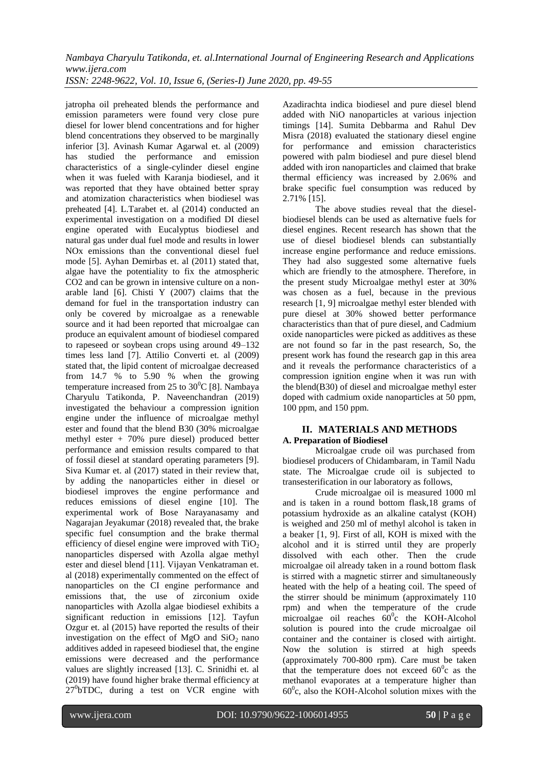*ISSN: 2248-9622, Vol. 10, Issue 6, (Series-I) June 2020, pp. 49-55*

jatropha oil preheated blends the performance and emission parameters were found very close pure diesel for lower blend concentrations and for higher blend concentrations they observed to be marginally inferior [3]. Avinash Kumar Agarwal et. al (2009) has studied the performance and emission characteristics of a single-cylinder diesel engine when it was fueled with Karanja biodiesel, and it was reported that they have obtained better spray and atomization characteristics when biodiesel was preheated [4]. L.Tarabet et. al (2014) conducted an experimental investigation on a modified DI diesel engine operated with Eucalyptus biodiesel and natural gas under dual fuel mode and results in lower NOx emissions than the conventional diesel fuel mode [5]. Ayhan Demirbas et. al (2011) stated that, algae have the potentiality to fix the atmospheric CO2 and can be grown in intensive culture on a nonarable land [6]. Chisti Y (2007) claims that the demand for fuel in the transportation industry can only be covered by microalgae as a renewable source and it had been reported that microalgae can produce an equivalent amount of biodiesel compared to rapeseed or soybean crops using around 49–132 times less land [7]. Attilio Converti et. al (2009) stated that, the lipid content of microalgae decreased from 14.7 % to 5.90 % when the growing temperature increased from 25 to  $30^{\circ}$ C [8]. Nambaya Charyulu Tatikonda, P. Naveenchandran (2019) investigated the behaviour a compression ignition engine under the influence of microalgae methyl ester and found that the blend B30 (30% microalgae methyl ester + 70% pure diesel) produced better performance and emission results compared to that of fossil diesel at standard operating parameters [9]. Siva Kumar et. al (2017) stated in their review that, by adding the nanoparticles either in diesel or biodiesel improves the engine performance and reduces emissions of diesel engine [10]. The experimental work of Bose Narayanasamy and Nagarajan Jeyakumar (2018) revealed that, the brake specific fuel consumption and the brake thermal efficiency of diesel engine were improved with  $TiO<sub>2</sub>$ nanoparticles dispersed with Azolla algae methyl ester and diesel blend [11]. Vijayan Venkatraman et. al (2018) experimentally commented on the effect of nanoparticles on the CI engine performance and emissions that, the use of zirconium oxide nanoparticles with Azolla algae biodiesel exhibits a significant reduction in emissions [12]. Tayfun Ozgur et. al (2015) have reported the results of their investigation on the effect of MgO and  $SiO<sub>2</sub>$  nano additives added in rapeseed biodiesel that, the engine emissions were decreased and the performance values are slightly increased [13]. C. Srinidhi et. al (2019) have found higher brake thermal efficiency at 27<sup>0</sup>bTDC, during a test on VCR engine with Azadirachta indica biodiesel and pure diesel blend added with NiO nanoparticles at various injection timings [14]. Sumita Debbarma and Rahul Dev Misra (2018) evaluated the stationary diesel engine for performance and emission characteristics powered with palm biodiesel and pure diesel blend added with iron nanoparticles and claimed that brake thermal efficiency was increased by 2.06% and brake specific fuel consumption was reduced by 2.71% [15].

The above studies reveal that the dieselbiodiesel blends can be used as alternative fuels for diesel engines. Recent research has shown that the use of diesel biodiesel blends can substantially increase engine performance and reduce emissions. They had also suggested some alternative fuels which are friendly to the atmosphere. Therefore, in the present study Microalgae methyl ester at 30% was chosen as a fuel, because in the previous research [1, 9] microalgae methyl ester blended with pure diesel at 30% showed better performance characteristics than that of pure diesel, and Cadmium oxide nanoparticles were picked as additives as these are not found so far in the past research, So, the present work has found the research gap in this area and it reveals the performance characteristics of a compression ignition engine when it was run with the blend(B30) of diesel and microalgae methyl ester doped with cadmium oxide nanoparticles at 50 ppm, 100 ppm, and 150 ppm.

# **II. MATERIALS AND METHODS A. Preparation of Biodiesel**

Microalgae crude oil was purchased from biodiesel producers of Chidambaram, in Tamil Nadu state. The Microalgae crude oil is subjected to transesterification in our laboratory as follows,

Crude microalgae oil is measured 1000 ml and is taken in a round bottom flask,18 grams of potassium hydroxide as an alkaline catalyst (KOH) is weighed and 250 ml of methyl alcohol is taken in a beaker [1, 9]. First of all, KOH is mixed with the alcohol and it is stirred until they are properly dissolved with each other. Then the crude microalgae oil already taken in a round bottom flask is stirred with a magnetic stirrer and simultaneously heated with the help of a heating coil. The speed of the stirrer should be minimum (approximately 110 rpm) and when the temperature of the crude microalgae oil reaches  $60^{\circ}$ c the KOH-Alcohol solution is poured into the crude microalgae oil container and the container is closed with airtight. Now the solution is stirred at high speeds (approximately 700-800 rpm). Care must be taken that the temperature does not exceed  $60^{\circ}$ c as the methanol evaporates at a temperature higher than  $60^{\circ}$ c, also the KOH-Alcohol solution mixes with the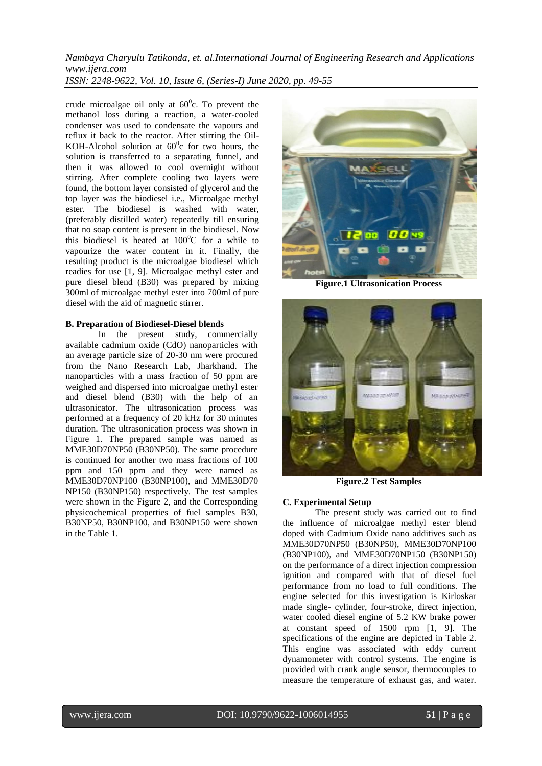*Nambaya Charyulu Tatikonda, et. al.International Journal of Engineering Research and Applications www.ijera.com ISSN: 2248-9622, Vol. 10, Issue 6, (Series-I) June 2020, pp. 49-55*

crude microalgae oil only at  $60^{\circ}$ c. To prevent the methanol loss during a reaction, a water-cooled condenser was used to condensate the vapours and reflux it back to the reactor. After stirring the Oil-KOH-Alcohol solution at  $60^{\circ}$ c for two hours, the solution is transferred to a separating funnel, and then it was allowed to cool overnight without stirring. After complete cooling two layers were found, the bottom layer consisted of glycerol and the top layer was the biodiesel i.e., Microalgae methyl ester. The biodiesel is washed with water, (preferably distilled water) repeatedly till ensuring that no soap content is present in the biodiesel. Now this biodiesel is heated at  $100^{\circ}$ C for a while to vapourize the water content in it. Finally, the resulting product is the microalgae biodiesel which readies for use [1, 9]. Microalgae methyl ester and pure diesel blend (B30) was prepared by mixing 300ml of microalgae methyl ester into 700ml of pure diesel with the aid of magnetic stirrer.

#### **B. Preparation of Biodiesel-Diesel blends**

In the present study, commercially available cadmium oxide (CdO) nanoparticles with an average particle size of 20-30 nm were procured from the Nano Research Lab, Jharkhand. The nanoparticles with a mass fraction of 50 ppm are weighed and dispersed into microalgae methyl ester and diesel blend (B30) with the help of an ultrasonicator. The ultrasonication process was performed at a frequency of 20 kHz for 30 minutes duration. The ultrasonication process was shown in Figure 1. The prepared sample was named as MME30D70NP50 (B30NP50). The same procedure is continued for another two mass fractions of 100 ppm and 150 ppm and they were named as MME30D70NP100 (B30NP100), and MME30D70 NP150 (B30NP150) respectively. The test samples were shown in the Figure 2, and the Corresponding physicochemical properties of fuel samples B30, B30NP50, B30NP100, and B30NP150 were shown in the Table 1.



**Figure.1 Ultrasonication Process**



**Figure.2 Test Samples**

#### **C. Experimental Setup**

The present study was carried out to find the influence of microalgae methyl ester blend doped with Cadmium Oxide nano additives such as MME30D70NP50 (B30NP50), MME30D70NP100 (B30NP100), and MME30D70NP150 (B30NP150) on the performance of a direct injection compression ignition and compared with that of diesel fuel performance from no load to full conditions. The engine selected for this investigation is Kirloskar made single- cylinder, four-stroke, direct injection, water cooled diesel engine of 5.2 KW brake power at constant speed of 1500 rpm [1, 9]. The specifications of the engine are depicted in Table 2. This engine was associated with eddy current dynamometer with control systems. The engine is provided with crank angle sensor, thermocouples to measure the temperature of exhaust gas, and water.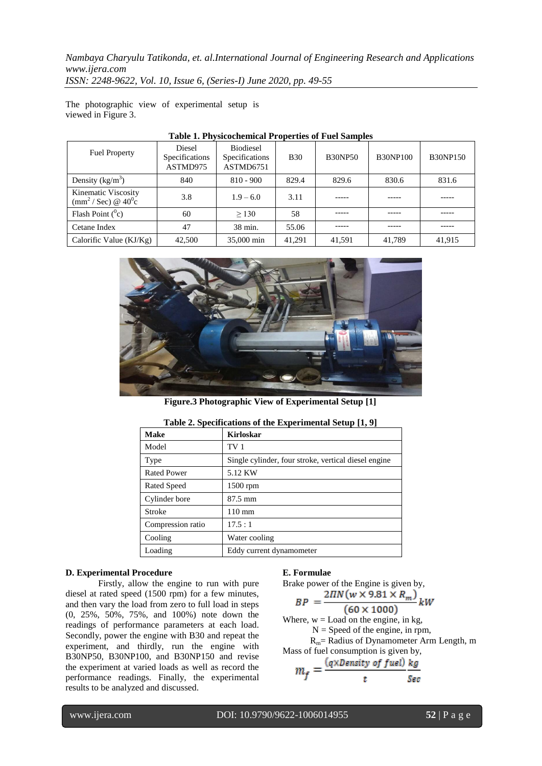*Nambaya Charyulu Tatikonda, et. al.International Journal of Engineering Research and Applications www.ijera.com ISSN: 2248-9622, Vol. 10, Issue 6, (Series-I) June 2020, pp. 49-55*

The photographic view of experimental setup is viewed in Figure 3.

| <b>Fuel Property</b>                                                   | Diesel<br>Specifications<br>ASTMD975 | <b>Biodiesel</b><br>Specifications<br>ASTMD6751 | <b>B</b> 30 | <b>B30NP50</b> | <b>B30NP100</b> | <b>B30NP150</b> |
|------------------------------------------------------------------------|--------------------------------------|-------------------------------------------------|-------------|----------------|-----------------|-----------------|
| Density $(kg/m^3)$                                                     | 840                                  | $810 - 900$                                     | 829.4       | 829.6          | 830.6           | 831.6           |
| Kinematic Viscosity<br>$\text{(mm}^2/\text{Sec}) \otimes 40^0\text{c}$ | 3.8                                  | $1.9 - 6.0$                                     | 3.11        | ----           |                 |                 |
| Flash Point $(^0c)$                                                    | 60                                   | > 130                                           | 58          | -----          |                 | -----           |
| Cetane Index                                                           | 47                                   | 38 min.                                         | 55.06       |                |                 |                 |
| Calorific Value $(KJ/Kg)$                                              | 42,500                               | 35,000 min                                      | 41.291      | 41.591         | 41.789          | 41,915          |

## **Table 1. Physicochemical Properties of Fuel Samples**



**Figure.3 Photographic View of Experimental Setup [1]**

| <b>Make</b>        | <b>Kirloskar</b>                                     |
|--------------------|------------------------------------------------------|
| Model              | TV 1                                                 |
| Type               | Single cylinder, four stroke, vertical diesel engine |
| <b>Rated Power</b> | 5.12 KW                                              |
| Rated Speed        | $1500$ rpm                                           |
| Cylinder bore      | $87.5$ mm                                            |
| Stroke             | $110 \text{ mm}$                                     |
| Compression ratio  | 17.5:1                                               |
| Cooling            | Water cooling                                        |
| Loading            | Eddy current dynamometer                             |
|                    |                                                      |

#### **Table 2. Specifications of the Experimental Setup [1, 9]**

#### **D. Experimental Procedure**

 Firstly, allow the engine to run with pure diesel at rated speed (1500 rpm) for a few minutes, and then vary the load from zero to full load in steps (0, 25%, 50%, 75%, and 100%) note down the readings of performance parameters at each load. Secondly, power the engine with B30 and repeat the experiment, and thirdly, run the engine with B30NP50, B30NP100, and B30NP150 and revise the experiment at varied loads as well as record the performance readings. Finally, the experimental results to be analyzed and discussed.

#### **E. Formulae**

Brake power of the Engine is given by,

$$
BP = \frac{2\pi N(w \times 9.81 \times R_m)}{(60 \times 1000)} kW
$$

Where,  $w =$  Load on the engine, in kg,  $N =$  Speed of the engine, in rpm,

 Rm= Radius of Dynamometer Arm Length, m Mass of fuel consumption is given by,

$$
m_f = \frac{(q \times Density \text{ of } fuel)}{t} \frac{kg}{Sec}
$$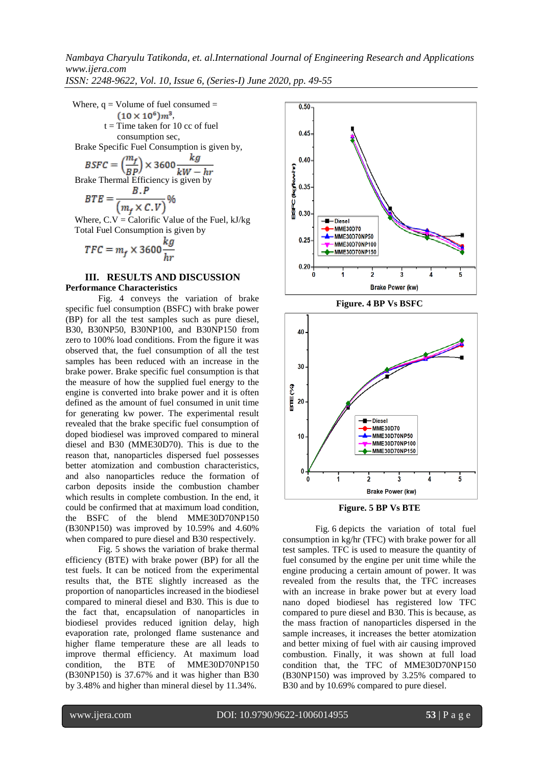*ISSN: 2248-9622, Vol. 10, Issue 6, (Series-I) June 2020, pp. 49-55*

Where,  $q =$  Volume of fuel consumed  $=$  $(10 \times 10^6) m^3$ ,  $t =$ Time taken for 10 cc of fuel consumption sec,

Brake Specific Fuel Consumption is given by,

$$
BSPC = \left(\frac{m_f}{BP}\right) \times 3600 \frac{kg}{kW - hr}
$$
  
Brake Thermal Efficiency is given by

$$
BTE = \frac{B.P}{(m_f \times C.V)} \%
$$

Where,  $C.V = Calorific Value of the Fuel, kJ/kg$ Total Fuel Consumption is given by

$$
TFC = m_f \times 3600 \frac{kg}{hr}
$$

# **III. RESULTS AND DISCUSSION Performance Characteristics**

Fig. 4 conveys the variation of brake specific fuel consumption (BSFC) with brake power (BP) for all the test samples such as pure diesel, B30, B30NP50, B30NP100, and B30NP150 from zero to 100% load conditions. From the figure it was observed that, the fuel consumption of all the test samples has been reduced with an increase in the brake power. Brake specific fuel consumption is that the measure of how the supplied fuel energy to the engine is converted into brake power and it is often defined as the amount of fuel consumed in unit time for generating kw power. The experimental result revealed that the brake specific fuel consumption of doped biodiesel was improved compared to mineral diesel and B30 (MME30D70). This is due to the reason that, nanoparticles dispersed fuel possesses better atomization and combustion characteristics, and also nanoparticles reduce the formation of carbon deposits inside the combustion chamber which results in complete combustion. In the end, it could be confirmed that at maximum load condition, the BSFC of the blend MME30D70NP150 (B30NP150) was improved by 10.59% and 4.60% when compared to pure diesel and B30 respectively.

Fig. 5 shows the variation of brake thermal efficiency (BTE) with brake power (BP) for all the test fuels. It can be noticed from the experimental results that, the BTE slightly increased as the proportion of nanoparticles increased in the biodiesel compared to mineral diesel and B30. This is due to the fact that, encapsulation of nanoparticles in biodiesel provides reduced ignition delay, high evaporation rate, prolonged flame sustenance and higher flame temperature these are all leads to improve thermal efficiency. At maximum load condition, the BTE of MME30D70NP150 (B30NP150) is 37.67% and it was higher than B30 by 3.48% and higher than mineral diesel by 11.34%.







Fig. 6 depicts the variation of total fuel consumption in kg/hr (TFC) with brake power for all test samples. TFC is used to measure the quantity of fuel consumed by the engine per unit time while the engine producing a certain amount of power. It was revealed from the results that, the TFC increases with an increase in brake power but at every load nano doped biodiesel has registered low TFC compared to pure diesel and B30. This is because, as the mass fraction of nanoparticles dispersed in the sample increases, it increases the better atomization and better mixing of fuel with air causing improved combustion. Finally, it was shown at full load condition that, the TFC of MME30D70NP150 (B30NP150) was improved by 3.25% compared to B30 and by 10.69% compared to pure diesel.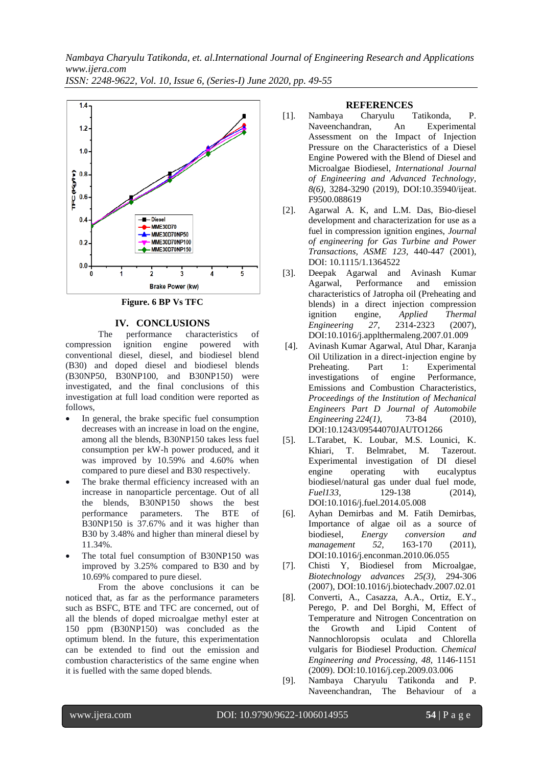*ISSN: 2248-9622, Vol. 10, Issue 6, (Series-I) June 2020, pp. 49-55*



**Figure. 6 BP Vs TFC**

# **IV. CONCLUSIONS**

The performance characteristics of compression ignition engine powered with conventional diesel, diesel, and biodiesel blend (B30) and doped diesel and biodiesel blends (B30NP50, B30NP100, and B30NP150) were investigated, and the final conclusions of this investigation at full load condition were reported as follows,

- In general, the brake specific fuel consumption decreases with an increase in load on the engine, among all the blends, B30NP150 takes less fuel consumption per kW-h power produced, and it was improved by 10.59% and 4.60% when compared to pure diesel and B30 respectively.
- The brake thermal efficiency increased with an increase in nanoparticle percentage. Out of all the blends, B30NP150 shows the best performance parameters. The BTE of B30NP150 is 37.67% and it was higher than B30 by 3.48% and higher than mineral diesel by 11.34%.
- The total fuel consumption of B30NP150 was improved by 3.25% compared to B30 and by 10.69% compared to pure diesel.

From the above conclusions it can be noticed that, as far as the performance parameters such as BSFC, BTE and TFC are concerned, out of all the blends of doped microalgae methyl ester at 150 ppm (B30NP150) was concluded as the optimum blend. In the future, this experimentation can be extended to find out the emission and combustion characteristics of the same engine when it is fuelled with the same doped blends.

#### **REFERENCES**

- [1]. Nambaya Charyulu Tatikonda, P. Naveenchandran, An Experimental Assessment on the Impact of Injection Pressure on the Characteristics of a Diesel Engine Powered with the Blend of Diesel and Microalgae Biodiesel, *International Journal of Engineering and Advanced Technology, 8(6),* 3284-3290 (2019), DOI:10.35940/ijeat. F9500.088619
- [2]. Agarwal A. K, and L.M. Das, Bio-diesel development and characterization for use as a fuel in compression ignition engines, *Journal of engineering for Gas Turbine and Power Transactions, ASME 123,* 440-447 (2001), DOI: 10.1115/1.1364522
- [3]. Deepak Agarwal and Avinash Kumar Agarwal, Performance and emission characteristics of Jatropha oil (Preheating and blends) in a direct injection compression ignition engine, *Applied Thermal Engineering 27,* 2314-2323 (2007), DOI[:10.1016/j.applthermaleng.2007.01.009](https://www.researchgate.net/deref/http%3A%2F%2Fdx.doi.org%2F10.1016%2Fj.applthermaleng.2007.01.009)
- [4]. Avinash Kumar Agarwal, Atul Dhar, Karanja Oil Utilization in a direct-injection engine by Preheating. Part 1: Experimental investigations of engine Performance, Emissions and Combustion Characteristics, *[Proceedings of the Institution of Mechanical](https://www.researchgate.net/journal/0954-4070_Proceedings_of_the_Institution_of_Mechanical_Engineers_Part_D_Journal_of_Automobile_Engineering)  [Engineers Part D Journal of Automobile](https://www.researchgate.net/journal/0954-4070_Proceedings_of_the_Institution_of_Mechanical_Engineers_Part_D_Journal_of_Automobile_Engineering)  [Engineering](https://www.researchgate.net/journal/0954-4070_Proceedings_of_the_Institution_of_Mechanical_Engineers_Part_D_Journal_of_Automobile_Engineering) 224(1),* 73-84 (2010), DOI:10.1243/09544070JAUTO1266
- [5]. L.Tarabet, K. Loubar, M.S. Lounici, K. Khiari, T. Belmrabet, M. Tazerout. Experimental investigation of DI diesel engine operating with eucalyptus biodiesel/natural gas under dual fuel mode, *Fuel133,* 129-138 (2014), [DOI:10.1016/j.fuel.2014.05.008](https://doi.org/10.1016/j.fuel.2014.05.008)
- [6]. Ayhan Demirbas and M. Fatih Demirbas, Importance of algae oil as a source of biodiesel, *Energy conversion and management 52,* 163-170 (2011), [DOI:10.1016/j.enconman.2010.06.055](https://doi.org/10.1016/j.enconman.2010.06.055)
- [7]. Chisti Y, Biodiesel from Microalgae, *Biotechnology advances 25(3),* 294-306 (2007), [DOI:10.1016/j.biotechadv.2007.02.01](https://doi.org/10.1016/j.biotechadv.2007.02.001)
- [8]. Converti, A., Casazza, A.A., Ortiz, E.Y., Perego, P. and Del Borghi, M, Effect of Temperature and Nitrogen Concentration on the Growth and Lipid Content of Nannochloropsis oculata and Chlorella vulgaris for Biodiesel Production. *Chemical Engineering and Processing, 48,* 1146-1151 (2009). DOI:10.1016/j.cep.2009.03.006
- [9]. Nambaya Charyulu Tatikonda and P. Naveenchandran, The Behaviour of a